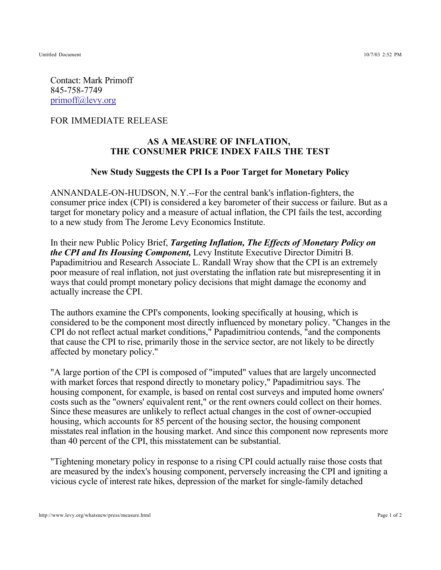Contact: Mark Primoff 845-758-7749 primoff@levy.org

FOR IMMEDIATE RELEASE

## **AS A MEASURE OF INFLATION, THE CONSUMER PRICE INDEX FAILS THE TEST**

## **New Study Suggests the CPI Is a Poor Target for Monetary Policy**

ANNANDALE-ON-HUDSON, N.Y.--For the central bank's inflation-fighters, the consumer price index (CPI) is considered a key barometer of their success or failure. But as a target for monetary policy and a measure of actual inflation, the CPI fails the test, according to a new study from The Jerome Levy Economics Institute.

In their new Public Policy Brief, *Targeting Inflation, The Effects of Monetary Policy on the CPI and Its Housing Component, Levy Institute Executive Director Dimitri B.* Papadimitriou and Research Associate L. Randall Wray show that the CPI is an extremely poor measure of real inflation, not just overstating the inflation rate but misrepresenting it in ways that could prompt monetary policy decisions that might damage the economy and actually increase the CPI.

The authors examine the CPI's components, looking specifically at housing, which is considered to be the component most directly influenced by monetary policy. "Changes in the CPI do not reflect actual market conditions," Papadimitriou contends, "and the components that cause the CPI to rise, primarily those in the service sector, are not likely to be directly affected by monetary policy."

"A large portion of the CPI is composed of "imputed" values that are largely unconnected with market forces that respond directly to monetary policy," Papadimitriou says. The housing component, for example, is based on rental cost surveys and imputed home owners' costs such as the "owners' equivalent rent," or the rent owners could collect on their homes. Since these measures are unlikely to reflect actual changes in the cost of owner-occupied housing, which accounts for 85 percent of the housing sector, the housing component misstates real inflation in the housing market. And since this component now represents more than 40 percent of the CPI, this misstatement can be substantial.

"Tightening monetary policy in response to a rising CPI could actually raise those costs that are measured by the index's housing component, perversely increasing the CPI and igniting a vicious cycle of interest rate hikes, depression of the market for single-family detached